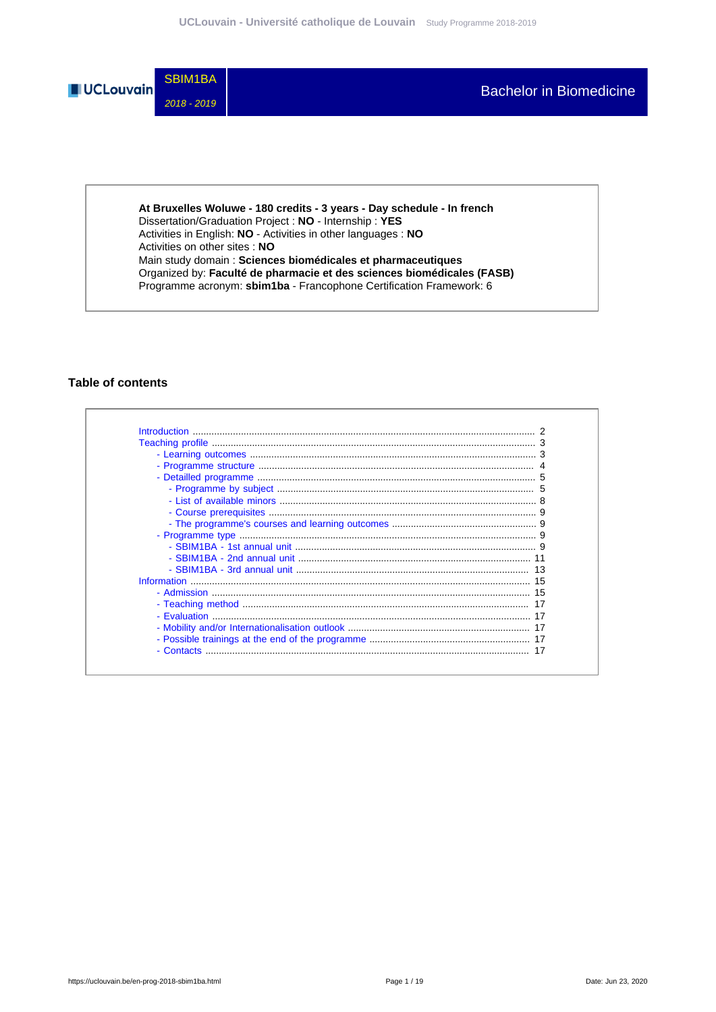

**At Bruxelles Woluwe - 180 credits - 3 years - Day schedule - In french** Dissertation/Graduation Project : **NO** - Internship : **YES** Activities in English: **NO** - Activities in other languages : **NO** Activities on other sites : **NO** Main study domain : **Sciences biomédicales et pharmaceutiques** Organized by: **Faculté de pharmacie et des sciences biomédicales (FASB)** Programme acronym: **sbim1ba** - Francophone Certification Framework: 6

## **Table of contents**

| <b>Introduction</b> |  |
|---------------------|--|
|                     |  |
|                     |  |
|                     |  |
|                     |  |
|                     |  |
|                     |  |
|                     |  |
|                     |  |
|                     |  |
|                     |  |
|                     |  |
|                     |  |
| Information         |  |
|                     |  |
|                     |  |
|                     |  |
|                     |  |
|                     |  |
|                     |  |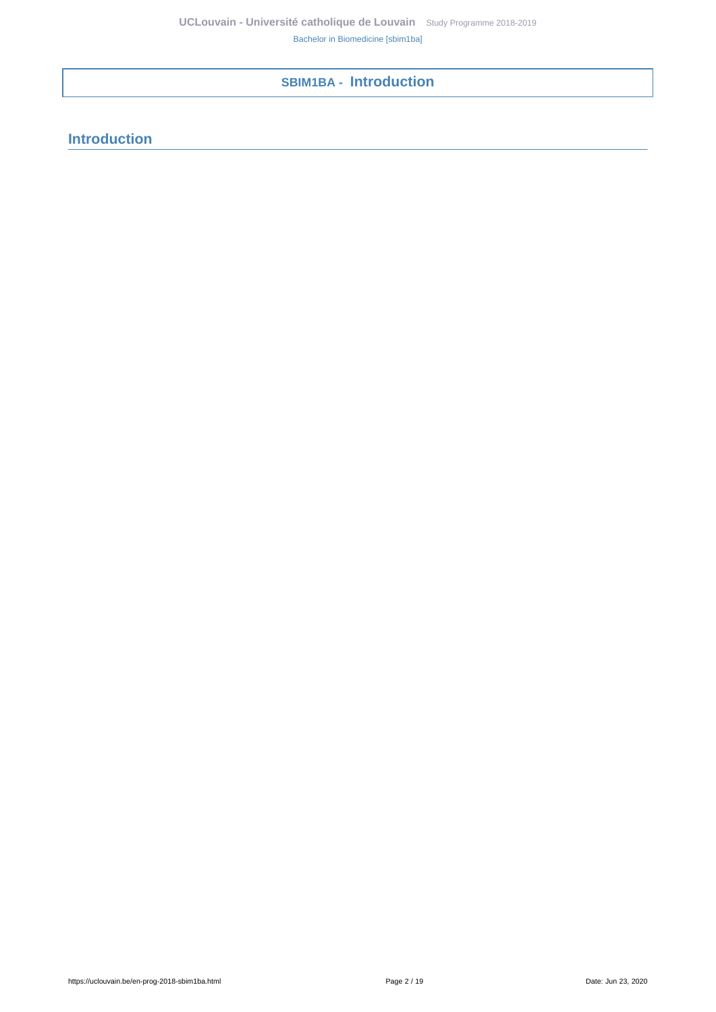# <span id="page-1-0"></span>**SBIM1BA - Introduction**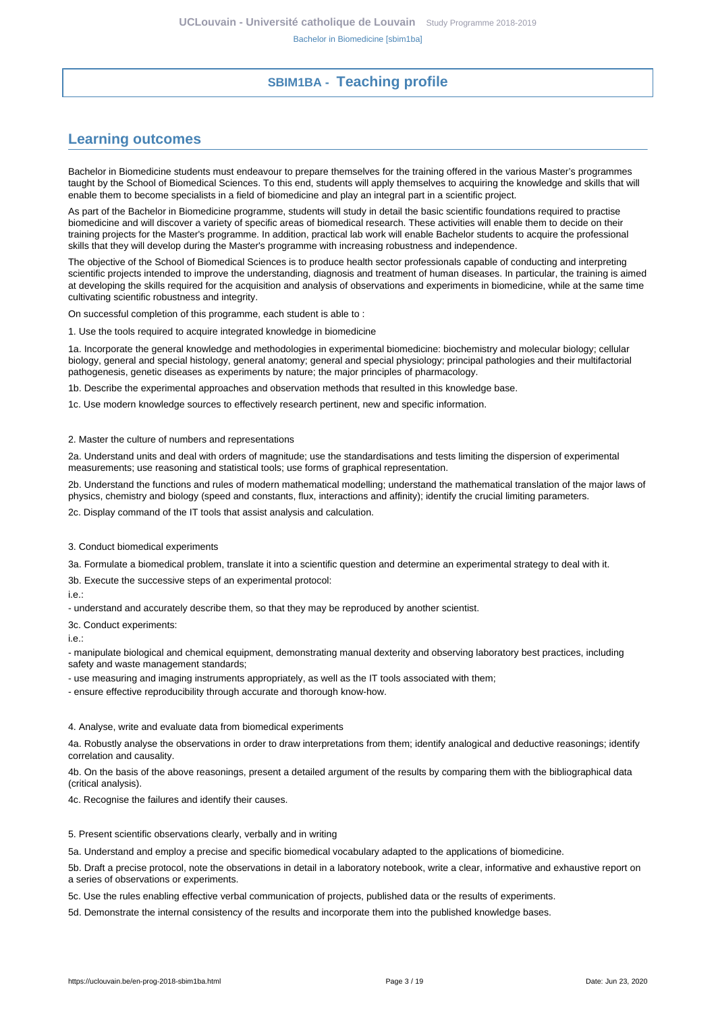## **SBIM1BA - Teaching profile**

# <span id="page-2-1"></span><span id="page-2-0"></span>**Learning outcomes**

Bachelor in Biomedicine students must endeavour to prepare themselves for the training offered in the various Master's programmes taught by the School of Biomedical Sciences. To this end, students will apply themselves to acquiring the knowledge and skills that will enable them to become specialists in a field of biomedicine and play an integral part in a scientific project.

As part of the Bachelor in Biomedicine programme, students will study in detail the basic scientific foundations required to practise biomedicine and will discover a variety of specific areas of biomedical research. These activities will enable them to decide on their training projects for the Master's programme. In addition, practical lab work will enable Bachelor students to acquire the professional skills that they will develop during the Master's programme with increasing robustness and independence.

The objective of the School of Biomedical Sciences is to produce health sector professionals capable of conducting and interpreting scientific projects intended to improve the understanding, diagnosis and treatment of human diseases. In particular, the training is aimed at developing the skills required for the acquisition and analysis of observations and experiments in biomedicine, while at the same time cultivating scientific robustness and integrity.

On successful completion of this programme, each student is able to :

1. Use the tools required to acquire integrated knowledge in biomedicine

1a. Incorporate the general knowledge and methodologies in experimental biomedicine: biochemistry and molecular biology; cellular biology, general and special histology, general anatomy; general and special physiology; principal pathologies and their multifactorial pathogenesis, genetic diseases as experiments by nature; the major principles of pharmacology.

1b. Describe the experimental approaches and observation methods that resulted in this knowledge base.

1c. Use modern knowledge sources to effectively research pertinent, new and specific information.

#### 2. Master the culture of numbers and representations

2a. Understand units and deal with orders of magnitude; use the standardisations and tests limiting the dispersion of experimental measurements; use reasoning and statistical tools; use forms of graphical representation.

2b. Understand the functions and rules of modern mathematical modelling; understand the mathematical translation of the major laws of physics, chemistry and biology (speed and constants, flux, interactions and affinity); identify the crucial limiting parameters.

2c. Display command of the IT tools that assist analysis and calculation.

3. Conduct biomedical experiments

3a. Formulate a biomedical problem, translate it into a scientific question and determine an experimental strategy to deal with it.

3b. Execute the successive steps of an experimental protocol:

i.e.:

- understand and accurately describe them, so that they may be reproduced by another scientist.

3c. Conduct experiments:

i.e.:

- manipulate biological and chemical equipment, demonstrating manual dexterity and observing laboratory best practices, including safety and waste management standards;

- use measuring and imaging instruments appropriately, as well as the IT tools associated with them;

- ensure effective reproducibility through accurate and thorough know-how.

4. Analyse, write and evaluate data from biomedical experiments

4a. Robustly analyse the observations in order to draw interpretations from them; identify analogical and deductive reasonings; identify correlation and causality.

4b. On the basis of the above reasonings, present a detailed argument of the results by comparing them with the bibliographical data (critical analysis).

4c. Recognise the failures and identify their causes.

5. Present scientific observations clearly, verbally and in writing

5a. Understand and employ a precise and specific biomedical vocabulary adapted to the applications of biomedicine.

5b. Draft a precise protocol, note the observations in detail in a laboratory notebook, write a clear, informative and exhaustive report on a series of observations or experiments.

5c. Use the rules enabling effective verbal communication of projects, published data or the results of experiments.

5d. Demonstrate the internal consistency of the results and incorporate them into the published knowledge bases.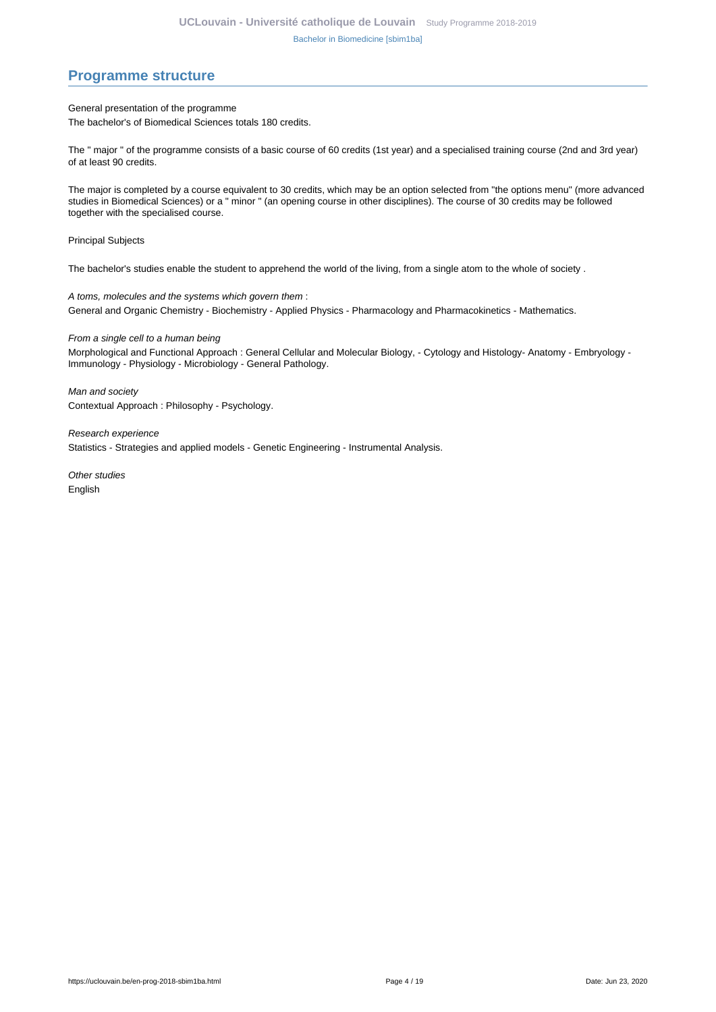## <span id="page-3-0"></span>**Programme structure**

General presentation of the programme

The bachelor's of Biomedical Sciences totals 180 credits.

The " major " of the programme consists of a basic course of 60 credits (1st year) and a specialised training course (2nd and 3rd year) of at least 90 credits.

The major is completed by a course equivalent to 30 credits, which may be an option selected from "the options menu" (more advanced studies in Biomedical Sciences) or a " minor " (an opening course in other disciplines). The course of 30 credits may be followed together with the specialised course.

Principal Subjects

The bachelor's studies enable the student to apprehend the world of the living, from a single atom to the whole of society .

A toms, molecules and the systems which govern them : General and Organic Chemistry - Biochemistry - Applied Physics - Pharmacology and Pharmacokinetics - Mathematics.

From a single cell to a human being

Morphological and Functional Approach : General Cellular and Molecular Biology, - Cytology and Histology- Anatomy - Embryology - Immunology - Physiology - Microbiology - General Pathology.

Man and society Contextual Approach : Philosophy - Psychology.

Research experience Statistics - Strategies and applied models - Genetic Engineering - Instrumental Analysis.

Other studies English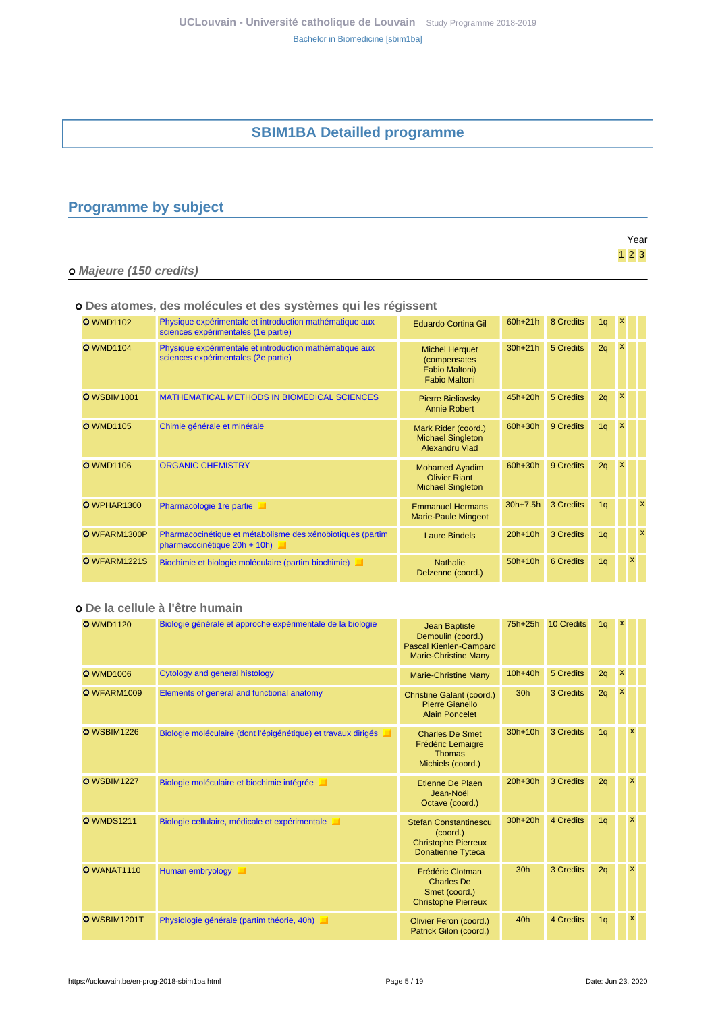# **SBIM1BA Detailled programme**

# <span id="page-4-1"></span><span id="page-4-0"></span>**Programme by subject**

|                         | Year                |
|-------------------------|---------------------|
|                         | $1 \quad 2 \quad 3$ |
| o Majeure (150 credits) |                     |

### **Des atomes, des molécules et des systèmes qui les régissent**

| <b>O</b> WMD1102   | Physique expérimentale et introduction mathématique aux<br>sciences expérimentales (1e partie) | <b>Eduardo Cortina Gil</b>                                                      | $60h+21h$  | 8 Credits        | 1q | x            |              |   |
|--------------------|------------------------------------------------------------------------------------------------|---------------------------------------------------------------------------------|------------|------------------|----|--------------|--------------|---|
| <b>O</b> WMD1104   | Physique expérimentale et introduction mathématique aux<br>sciences expérimentales (2e partie) | <b>Michel Herquet</b><br>(compensates<br>Fabio Maltoni)<br><b>Fabio Maltoni</b> | $30h+21h$  | 5 Credits        | 2q | $\mathsf{x}$ |              |   |
| <b>O</b> WSBIM1001 | <b>MATHEMATICAL METHODS IN BIOMEDICAL SCIENCES</b>                                             | <b>Pierre Bieliavsky</b><br>Annie Robert                                        | 45h+20h    | 5 Credits        | 2q | x            |              |   |
| <b>O</b> WMD1105   | Chimie générale et minérale                                                                    | Mark Rider (coord.)<br><b>Michael Singleton</b><br><b>Alexandru Vlad</b>        | 60h+30h    | 9 Credits        | 1q | x            |              |   |
| <b>O</b> WMD1106   | <b>ORGANIC CHEMISTRY</b>                                                                       | <b>Mohamed Ayadim</b><br><b>Olivier Riant</b><br><b>Michael Singleton</b>       | 60h+30h    | 9 Credits        | 2q | x            |              |   |
| O WPHAR1300        | Pharmacologie 1re partie<br>ш                                                                  | <b>Emmanuel Hermans</b><br><b>Marie-Paule Mingeot</b>                           | $30h+7.5h$ | 3 Credits        | 1q |              |              | x |
| O WFARM1300P       | Pharmacocinétique et métabolisme des xénobiotiques (partim<br>pharmacocinétique 20h + 10h)     | <b>Laure Bindels</b>                                                            | $20h+10h$  | 3 Credits        | 1q |              |              | x |
| O WFARM1221S       | Biochimie et biologie moléculaire (partim biochimie)                                           | <b>Nathalie</b><br>Delzenne (coord.)                                            | $50h+10h$  | <b>6 Credits</b> | 1q |              | $\mathbf{x}$ |   |

## **De la cellule à l'être humain**

| <b>O</b> WMD1120   | Biologie générale et approche expérimentale de la biologie    | <b>Jean Baptiste</b><br>Demoulin (coord.)<br>Pascal Kienlen-Campard<br><b>Marie-Christine Many</b>       | 75h+25h         | 10 Credits | 1 <sub>q</sub> | $\mathbf{x}$              |          |  |
|--------------------|---------------------------------------------------------------|----------------------------------------------------------------------------------------------------------|-----------------|------------|----------------|---------------------------|----------|--|
| <b>O</b> WMD1006   | Cytology and general histology                                | <b>Marie-Christine Many</b>                                                                              | $10h+40h$       | 5 Credits  | 2q             | $\pmb{\mathsf{x}}$        |          |  |
| O WFARM1009        | Elements of general and functional anatomy                    | <b>Christine Galant (coord.)</b><br>Pierre Gianello<br><b>Alain Poncelet</b>                             | 30 <sub>h</sub> | 3 Credits  | 2q             | $\boldsymbol{\mathsf{x}}$ |          |  |
| <b>O</b> WSBIM1226 | Biologie moléculaire (dont l'épigénétique) et travaux dirigés | <b>Charles De Smet</b><br>Frédéric Lemaigre<br><b>Thomas</b><br>Michiels (coord.)                        | $30h+10h$       | 3 Credits  | 1 <sub>q</sub> |                           | <b>X</b> |  |
| <b>O</b> WSBIM1227 | Biologie moléculaire et biochimie intégrée                    | Etienne De Plaen<br>Jean-Noël<br>Octave (coord.)                                                         | 20h+30h         | 3 Credits  | 2q             |                           | x        |  |
| <b>O</b> WMDS1211  | Biologie cellulaire, médicale et expérimentale                | <b>Stefan Constantinescu</b><br>$(c$ oord. $)$<br><b>Christophe Pierreux</b><br><b>Donatienne Tyteca</b> | 30h+20h         | 4 Credits  | 1 <sub>q</sub> |                           | X        |  |
| <b>O</b> WANAT1110 | Human embryology                                              | Frédéric Clotman<br><b>Charles De</b><br>Smet (coord.)<br><b>Christophe Pierreux</b>                     | 30 <sub>h</sub> | 3 Credits  | 2q             |                           | x        |  |
| O WSBIM1201T       | Physiologie générale (partim théorie, 40h)                    | Olivier Feron (coord.)<br>Patrick Gilon (coord.)                                                         | 40h             | 4 Credits  | 1 <sub>q</sub> |                           | X        |  |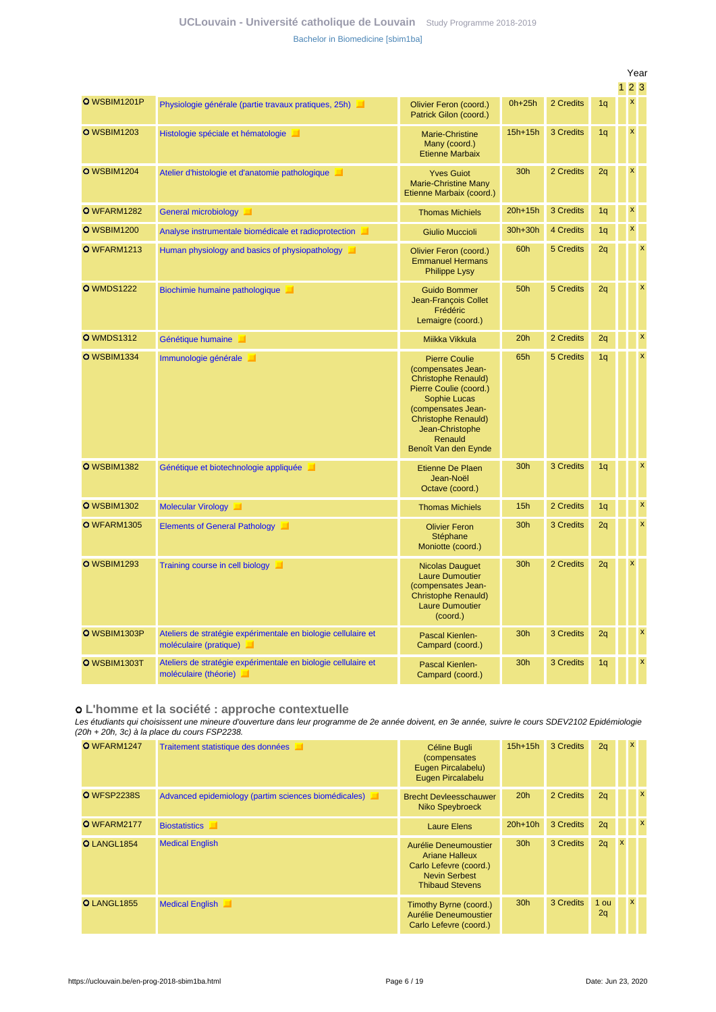## **UCLouvain - Université catholique de Louvain** [Study Programme 2018-2019](https://uclouvain.be/en/study-programme) [Bachelor in Biomedicine \[sbim1ba\]](https://uclouvain.be/en-prog-2018-sbim1ba.html)

|                    |                                                                                         |                                                                                                                                                                                                                              |                 |           |                | Year               |                           |
|--------------------|-----------------------------------------------------------------------------------------|------------------------------------------------------------------------------------------------------------------------------------------------------------------------------------------------------------------------------|-----------------|-----------|----------------|--------------------|---------------------------|
|                    |                                                                                         |                                                                                                                                                                                                                              |                 |           |                | 23                 |                           |
| O WSBIM1201P       | Physiologie générale (partie travaux pratiques, 25h)                                    | Olivier Feron (coord.)<br>Patrick Gilon (coord.)                                                                                                                                                                             | $0h+25h$        | 2 Credits | 1 <sub>q</sub> | $\mathsf X$        |                           |
| <b>O</b> WSBIM1203 | Histologie spéciale et hématologie                                                      | Marie-Christine<br>Many (coord.)<br><b>Etienne Marbaix</b>                                                                                                                                                                   | $15h+15h$       | 3 Credits | 1 <sub>q</sub> | $\pmb{\mathsf{x}}$ |                           |
| <b>O</b> WSBIM1204 | Atelier d'histologie et d'anatomie pathologique                                         | <b>Yves Guiot</b><br><b>Marie-Christine Many</b><br>Etienne Marbaix (coord.)                                                                                                                                                 | 30h             | 2 Credits | 2q             | $\pmb{\mathsf{x}}$ |                           |
| O WFARM1282        | General microbiology                                                                    | <b>Thomas Michiels</b>                                                                                                                                                                                                       | $20h+15h$       | 3 Credits | 1q             | $\pmb{\mathsf{x}}$ |                           |
| <b>O</b> WSBIM1200 | Analyse instrumentale biomédicale et radioprotection                                    | <b>Giulio Muccioli</b>                                                                                                                                                                                                       | $30h+30h$       | 4 Credits | 1q             | $\mathbf x$        |                           |
| <b>O</b> WFARM1213 | Human physiology and basics of physiopathology                                          | Olivier Feron (coord.)<br><b>Emmanuel Hermans</b><br><b>Philippe Lysy</b>                                                                                                                                                    | 60h             | 5 Credits | 2q             |                    | $\boldsymbol{\mathsf{x}}$ |
| <b>O</b> WMDS1222  | Biochimie humaine pathologique                                                          | <b>Guido Bommer</b><br>Jean-François Collet<br>Frédéric<br>Lemaigre (coord.)                                                                                                                                                 | 50h             | 5 Credits | 2q             |                    | $\boldsymbol{\mathsf{x}}$ |
| <b>O</b> WMDS1312  | Génétique humaine                                                                       | Miikka Vikkula                                                                                                                                                                                                               | 20h             | 2 Credits | 2q             |                    | $\boldsymbol{\mathsf{x}}$ |
| <b>O</b> WSBIM1334 | Immunologie générale                                                                    | <b>Pierre Coulie</b><br>(compensates Jean-<br><b>Christophe Renauld)</b><br>Pierre Coulie (coord.)<br>Sophie Lucas<br>(compensates Jean-<br><b>Christophe Renauld)</b><br>Jean-Christophe<br>Renauld<br>Benoît Van den Eynde | 65h             | 5 Credits | 1q             |                    | $\mathbf{x}$              |
| <b>O</b> WSBIM1382 | Génétique et biotechnologie appliquée                                                   | Etienne De Plaen<br>Jean-Noël<br>Octave (coord.)                                                                                                                                                                             | 30 <sub>h</sub> | 3 Credits | 1q             |                    | $\boldsymbol{\mathsf{x}}$ |
| <b>O</b> WSBIM1302 | Molecular Virology                                                                      | <b>Thomas Michiels</b>                                                                                                                                                                                                       | 15h             | 2 Credits | 1q             |                    | $\boldsymbol{\mathsf{x}}$ |
| O WFARM1305        | Elements of General Pathology                                                           | <b>Olivier Feron</b><br>Stéphane<br>Moniotte (coord.)                                                                                                                                                                        | 30h             | 3 Credits | 2q             |                    | $\boldsymbol{\mathsf{x}}$ |
| <b>O</b> WSBIM1293 | Training course in cell biology                                                         | <b>Nicolas Dauguet</b><br><b>Laure Dumoutier</b><br>(compensates Jean-<br><b>Christophe Renauld)</b><br><b>Laure Dumoutier</b><br>(coord.)                                                                                   | 30h             | 2 Credits | 2q             | $\pmb{\times}$     |                           |
| O WSBIM1303P       | Ateliers de stratégie expérimentale en biologie cellulaire et<br>moléculaire (pratique) | Pascal Kienlen-<br>Campard (coord.)                                                                                                                                                                                          | 30h             | 3 Credits | 2q             |                    | $\boldsymbol{\mathsf{x}}$ |
| O WSBIM1303T       | Ateliers de stratégie expérimentale en biologie cellulaire et<br>moléculaire (théorie)  | Pascal Kienlen-<br>Campard (coord.)                                                                                                                                                                                          | 30h             | 3 Credits | 1q             |                    | $\overline{\mathbf{x}}$   |

#### **L'homme et la société : approche contextuelle**

Les étudiants qui choisissent une mineure d'ouverture dans leur programme de 2e année doivent, en 3e année, suivre le cours SDEV2102 Epidémiologie (20h + 20h, 3c) à la place du cours FSP2238.

| O WFARM1247        | Traitement statistique des données                   | Céline Bugli<br>(compensates)<br>Eugen Pircalabelu)<br>Eugen Pircalabelu                                            | $15h+15h$       | 3 Credits | 2q         |                  | X        |              |
|--------------------|------------------------------------------------------|---------------------------------------------------------------------------------------------------------------------|-----------------|-----------|------------|------------------|----------|--------------|
| <b>O</b> WFSP2238S | Advanced epidemiology (partim sciences biomédicales) | <b>Brecht Devleesschauwer</b><br><b>Niko Speybroeck</b>                                                             | 20h             | 2 Credits | 2q         |                  |          | $\mathbf{x}$ |
| O WFARM2177        | <b>Biostatistics</b>                                 | <b>Laure Elens</b>                                                                                                  | $20h+10h$       | 3 Credits | 2q         |                  |          | $\mathsf{x}$ |
| O LANGL1854        | <b>Medical English</b>                               | Aurélie Deneumoustier<br>Ariane Halleux<br>Carlo Lefevre (coord.)<br><b>Nevin Serbest</b><br><b>Thibaud Stevens</b> | 30 <sub>h</sub> | 3 Credits | 2q         | $\boldsymbol{x}$ |          |              |
| O LANGL1855        | <b>Medical English</b>                               | Timothy Byrne (coord.)<br>Aurélie Deneumoustier<br>Carlo Lefevre (coord.)                                           | 30 <sub>h</sub> | 3 Credits | 1 ou<br>2q |                  | <b>X</b> |              |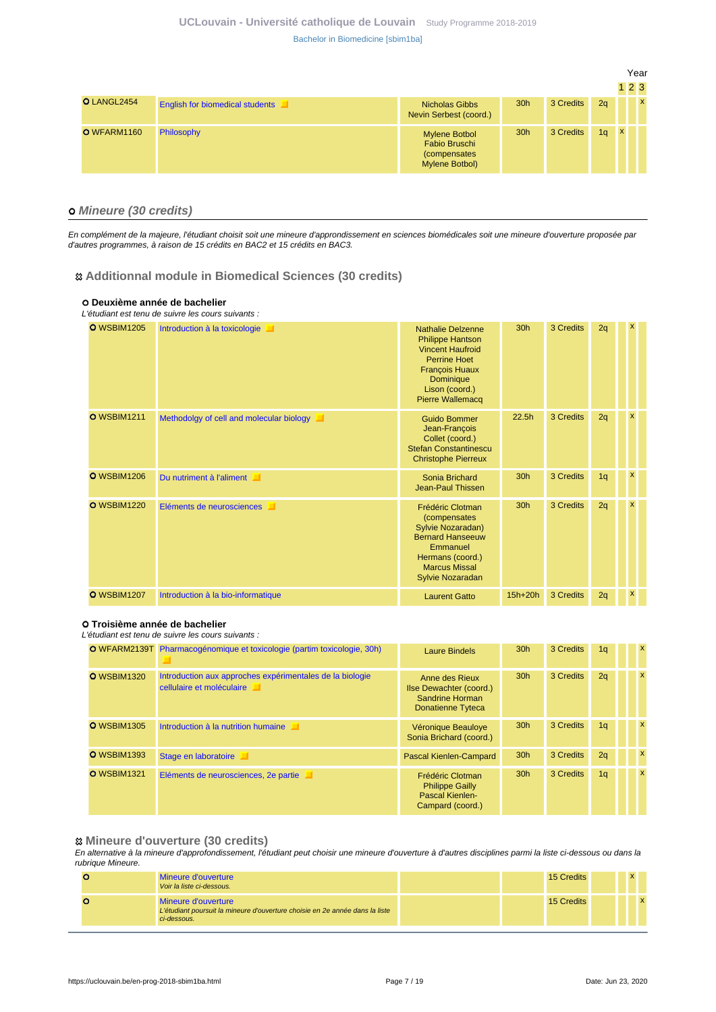|             |                                        |                                                                         |                 |           |                |              | Year |              |
|-------------|----------------------------------------|-------------------------------------------------------------------------|-----------------|-----------|----------------|--------------|------|--------------|
|             |                                        |                                                                         |                 |           |                |              | 123  |              |
| O LANGL2454 | <b>English for biomedical students</b> | <b>Nicholas Gibbs</b><br>Nevin Serbest (coord.)                         | 30 <sub>h</sub> | 3 Credits | 2q             |              |      | $\mathbf{x}$ |
| O WFARM1160 | Philosophy                             | <b>Mylene Botbol</b><br>Fabio Bruschi<br>(compensates<br>Mylene Botbol) | 30 <sub>h</sub> | 3 Credits | 1 <sub>q</sub> | $\mathbf{x}$ |      |              |

#### **Mineure (30 credits)**

En complément de la majeure, l'étudiant choisit soit une mineure d'approndissement en sciences biomédicales soit une mineure d'ouverture proposée par d'autres programmes, à raison de 15 crédits en BAC2 et 15 crédits en BAC3.

#### **Additionnal module in Biomedical Sciences (30 credits)**

#### **Deuxième année de bachelier**

|                    | L'étudiant est tenu de suivre les cours suivants : |                                                                                                                                                                                          |                 |           |                |          |  |
|--------------------|----------------------------------------------------|------------------------------------------------------------------------------------------------------------------------------------------------------------------------------------------|-----------------|-----------|----------------|----------|--|
| <b>O</b> WSBIM1205 | Introduction à la toxicologie                      | <b>Nathalie Delzenne</b><br><b>Philippe Hantson</b><br><b>Vincent Haufroid</b><br><b>Perrine Hoet</b><br><b>François Huaux</b><br>Dominique<br>Lison (coord.)<br><b>Pierre Wallemacq</b> | 30 <sub>h</sub> | 3 Credits | 2q             | x        |  |
| <b>O</b> WSBIM1211 | Methodolgy of cell and molecular biology           | <b>Guido Bommer</b><br>Jean-François<br>Collet (coord.)<br><b>Stefan Constantinescu</b><br><b>Christophe Pierreux</b>                                                                    | 22.5h           | 3 Credits | 2q             | x        |  |
| <b>O</b> WSBIM1206 | Du nutriment à l'aliment                           | Sonia Brichard<br>Jean-Paul Thissen                                                                                                                                                      | 30h             | 3 Credits | 1 <sub>q</sub> | x        |  |
| <b>O</b> WSBIM1220 | Eléments de neurosciences<br>ш                     | Frédéric Clotman<br>(compensates<br>Sylvie Nozaradan)<br><b>Bernard Hanseeuw</b><br>Emmanuel<br>Hermans (coord.)<br><b>Marcus Missal</b><br>Sylvie Nozaradan                             | 30h             | 3 Credits | 2q             | <b>X</b> |  |
| <b>O</b> WSBIM1207 | Introduction à la bio-informatique                 | <b>Laurent Gatto</b>                                                                                                                                                                     | $15h+20h$       | 3 Credits | 2q             | x        |  |

#### **Troisième année de bachelier**

#### L'étudiant est tenu de suivre les cours suivants :

|                    | <b>O</b> WFARM2139T Pharmacogénomique et toxicologie (partim toxicologie, 30h)        | Laure Bindels                                                                     | 30 <sub>h</sub> | 3 Credits | 1 <sub>q</sub> | $\mathbf{x}$              |
|--------------------|---------------------------------------------------------------------------------------|-----------------------------------------------------------------------------------|-----------------|-----------|----------------|---------------------------|
| <b>O</b> WSBIM1320 | Introduction aux approches expérimentales de la biologie<br>cellulaire et moléculaire | Anne des Rieux<br>Ilse Dewachter (coord.)<br>Sandrine Horman<br>Donatienne Tyteca | 30 <sub>h</sub> | 3 Credits | 2q             | $\mathbf{x}$              |
| <b>O</b> WSBIM1305 | Introduction à la nutrition humaine                                                   | Véronique Beauloye<br>Sonia Brichard (coord.)                                     | 30 <sub>h</sub> | 3 Credits | 1 <sub>q</sub> | $\boldsymbol{\mathsf{x}}$ |
| <b>O</b> WSBIM1393 | Stage en laboratoire                                                                  | Pascal Kienlen-Campard                                                            | 30 <sub>h</sub> | 3 Credits | 2q             | $\mathbf{x}$              |
| <b>O</b> WSBIM1321 | Eléments de neurosciences, 2e partie                                                  | Frédéric Clotman<br><b>Philippe Gailly</b><br>Pascal Kienlen-<br>Campard (coord.) | 30 <sub>h</sub> | 3 Credits | 1q             | $\mathsf{x}$              |

#### **Mineure d'ouverture (30 credits)**

En alternative à la mineure d'approfondissement, l'étudiant peut choisir une mineure d'ouverture à d'autres disciplines parmi la liste ci-dessous ou dans la rubrique Mineure.

| Mineure d'ouverture<br>Voir la liste ci-dessous.                                                                   |  | 15 Credits |  |  |
|--------------------------------------------------------------------------------------------------------------------|--|------------|--|--|
| Mineure d'ouverture<br>L'étudiant poursuit la mineure d'ouverture choisie en 2e année dans la liste<br>ci-dessous. |  | 15 Credits |  |  |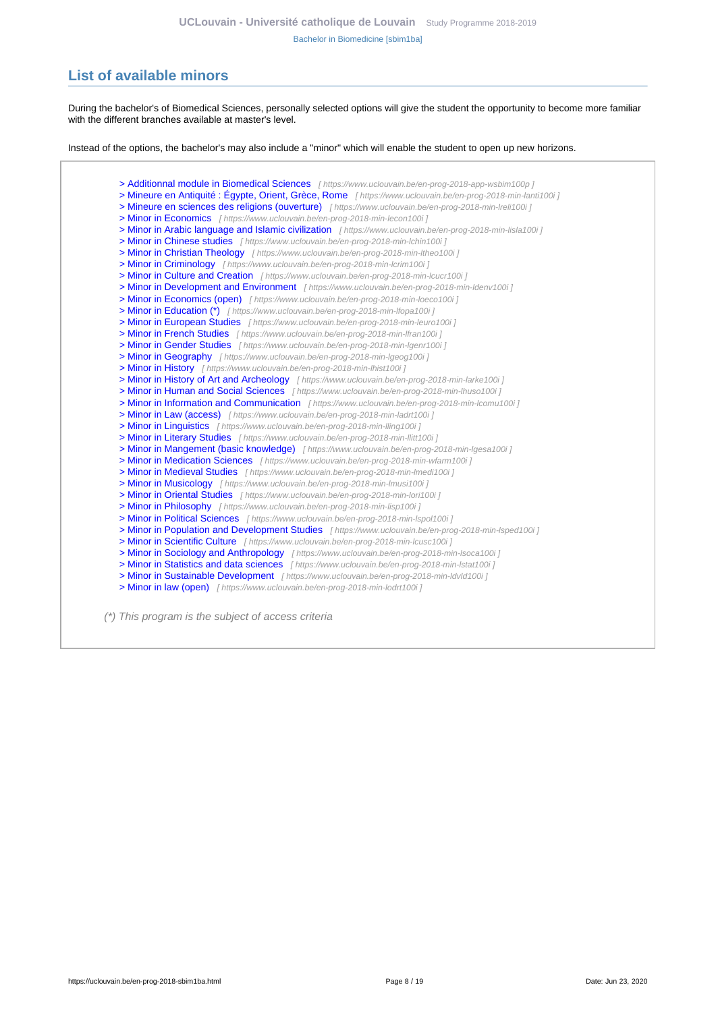# <span id="page-7-0"></span>**List of available minors**

During the bachelor's of Biomedical Sciences, personally selected options will give the student the opportunity to become more familiar with the different branches available at master's level.

Instead of the options, the bachelor's may also include a "minor" which will enable the student to open up new horizons.

[> Additionnal module in Biomedical Sciences](https://www.uclouvain.be/en-prog-2018-app-wsbim100p) [ https://www.uclouvain.be/en-prog-2018-app-wsbim100p ] [> Mineure en Antiquité : Égypte, Orient, Grèce, Rome](https://www.uclouvain.be/en-prog-2018-min-lanti100i) [ https://www.uclouvain.be/en-prog-2018-min-lanti100i ] [> Mineure en sciences des religions \(ouverture\)](https://www.uclouvain.be/en-prog-2018-min-lreli100i) [ https://www.uclouvain.be/en-prog-2018-min-Ireli100i ] [> Minor in Economics](https://www.uclouvain.be/en-prog-2018-min-lecon100i) [ https://www.uclouvain.be/en-prog-2018-min-lecon100i ] [> Minor in Arabic language and Islamic civilization](https://www.uclouvain.be/en-prog-2018-min-lisla100i) [https://www.uclouvain.be/en-prog-2018-min-lisla100i] [> Minor in Chinese studies](https://www.uclouvain.be/en-prog-2018-min-lchin100i) [ https://www.uclouvain.be/en-prog-2018-min-lchin100i ] [> Minor in Christian Theology](https://www.uclouvain.be/en-prog-2018-min-ltheo100i) [ https://www.uclouvain.be/en-prog-2018-min-Itheo100i ] [> Minor in Criminology](https://www.uclouvain.be/en-prog-2018-min-lcrim100i) [ https://www.uclouvain.be/en-prog-2018-min-lcrim100i ] [> Minor in Culture and Creation](https://www.uclouvain.be/en-prog-2018-min-lcucr100i) [ https://www.uclouvain.be/en-prog-2018-min-lcucr100i ] [> Minor in Development and Environment](https://www.uclouvain.be/en-prog-2018-min-ldenv100i) [ https://www.uclouvain.be/en-prog-2018-min-Idenv100i ] [> Minor in Economics \(open\)](https://www.uclouvain.be/en-prog-2018-min-loeco100i) [ https://www.uclouvain.be/en-prog-2018-min-loeco100i ] [> Minor in Education \(\\*\)](https://www.uclouvain.be/en-prog-2018-min-lfopa100i) [ https://www.uclouvain.be/en-prog-2018-min-lfopa100i ] [> Minor in European Studies](https://www.uclouvain.be/en-prog-2018-min-leuro100i) [ https://www.uclouvain.be/en-prog-2018-min-leuro100i ] [> Minor in French Studies](https://www.uclouvain.be/en-prog-2018-min-lfran100i) [ https://www.uclouvain.be/en-prog-2018-min-Ifran100i ] [> Minor in Gender Studies](https://www.uclouvain.be/en-prog-2018-min-lgenr100i) [ https://www.uclouvain.be/en-prog-2018-min-lgenr100i ] [> Minor in Geography](https://www.uclouvain.be/en-prog-2018-min-lgeog100i) [ https://www.uclouvain.be/en-prog-2018-min-lgeog100i ] [> Minor in History](https://www.uclouvain.be/en-prog-2018-min-lhist100i) [ https://www.uclouvain.be/en-prog-2018-min-lhist100i ] [> Minor in History of Art and Archeology](https://www.uclouvain.be/en-prog-2018-min-larke100i) [ https://www.uclouvain.be/en-prog-2018-min-larke100i ] [> Minor in Human and Social Sciences](https://www.uclouvain.be/en-prog-2018-min-lhuso100i) [ https://www.uclouvain.be/en-prog-2018-min-lhuso100i ] [> Minor in Information and Communication](https://www.uclouvain.be/en-prog-2018-min-lcomu100i) [https://www.uclouvain.be/en-prog-2018-min-lcomu100i] [> Minor in Law \(access\)](https://www.uclouvain.be/en-prog-2018-min-ladrt100i) [ https://www.uclouvain.be/en-prog-2018-min-ladrt100i ] [> Minor in Linguistics](https://www.uclouvain.be/en-prog-2018-min-lling100i) [ https://www.uclouvain.be/en-prog-2018-min-Iling100i ] [> Minor in Literary Studies](https://www.uclouvain.be/en-prog-2018-min-llitt100i) [ https://www.uclouvain.be/en-prog-2018-min-llitt100i ] [> Minor in Mangement \(basic knowledge\)](https://www.uclouvain.be/en-prog-2018-min-lgesa100i) [ https://www.uclouvain.be/en-prog-2018-min-Igesa100i ] [> Minor in Medication Sciences](https://www.uclouvain.be/en-prog-2018-min-wfarm100i) [ https://www.uclouvain.be/en-prog-2018-min-wfarm100i ] [> Minor in Medieval Studies](https://www.uclouvain.be/en-prog-2018-min-lmedi100i) [ https://www.uclouvain.be/en-prog-2018-min-Imedi100i ] [> Minor in Musicology](https://www.uclouvain.be/en-prog-2018-min-lmusi100i) [ https://www.uclouvain.be/en-prog-2018-min-lmusi100i ] [> Minor in Oriental Studies](https://www.uclouvain.be/en-prog-2018-min-lori100i) [ https://www.uclouvain.be/en-prog-2018-min-lori100i ] [> Minor in Philosophy](https://www.uclouvain.be/en-prog-2018-min-lisp100i) [ https://www.uclouvain.be/en-prog-2018-min-lisp100i ] [> Minor in Political Sciences](https://www.uclouvain.be/en-prog-2018-min-lspol100i) [ https://www.uclouvain.be/en-prog-2018-min-lspol100i ] [> Minor in Population and Development Studies](https://www.uclouvain.be/en-prog-2018-min-lsped100i) [ https://www.uclouvain.be/en-prog-2018-min-lsped100i ] [> Minor in Scientific Culture](https://www.uclouvain.be/en-prog-2018-min-lcusc100i) [ https://www.uclouvain.be/en-prog-2018-min-lcusc100i ] [> Minor in Sociology and Anthropology](https://www.uclouvain.be/en-prog-2018-min-lsoca100i) [ https://www.uclouvain.be/en-prog-2018-min-Isoca100i ] [> Minor in Statistics and data sciences](https://www.uclouvain.be/en-prog-2018-min-lstat100i) [ https://www.uclouvain.be/en-prog-2018-min-Istat100i ] [> Minor in Sustainable Development](https://www.uclouvain.be/en-prog-2018-min-ldvld100i) [ https://www.uclouvain.be/en-prog-2018-min-ldvld100i ] [> Minor in law \(open\)](https://www.uclouvain.be/en-prog-2018-min-lodrt100i) [ https://www.uclouvain.be/en-prog-2018-min-lodrt100i ]

(\*) This program is the subject of access criteria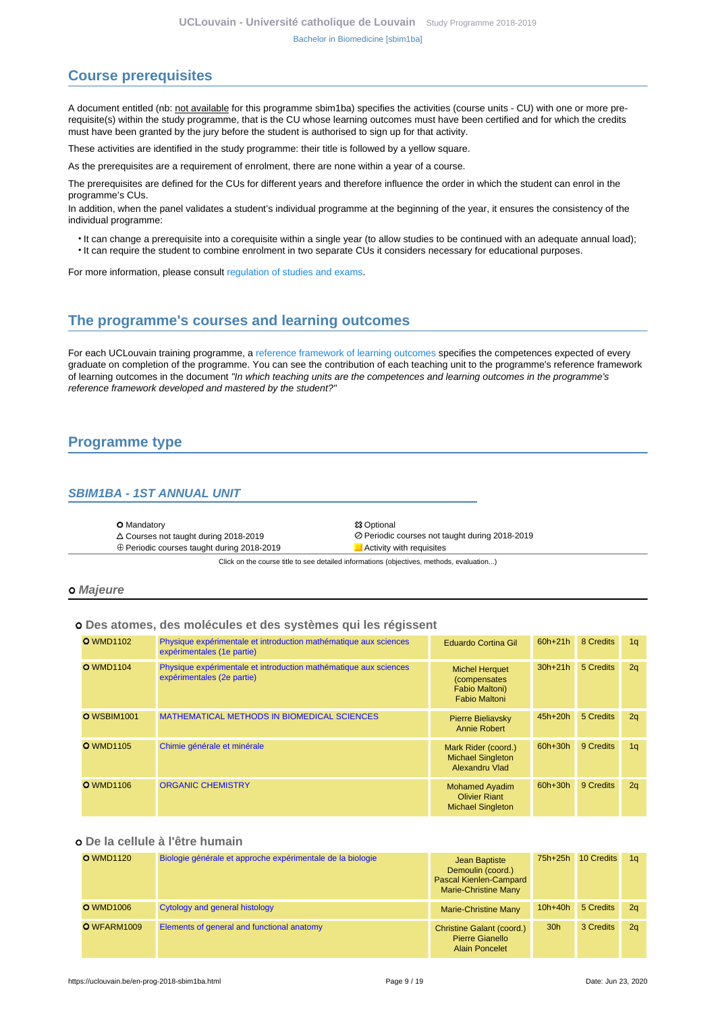# <span id="page-8-0"></span>**Course prerequisites**

A document entitled (nb: not available for this programme sbim1ba) specifies the activities (course units - CU) with one or more prerequisite(s) within the study programme, that is the CU whose learning outcomes must have been certified and for which the credits must have been granted by the jury before the student is authorised to sign up for that activity.

These activities are identified in the study programme: their title is followed by a yellow square.

As the prerequisites are a requirement of enrolment, there are none within a year of a course.

The prerequisites are defined for the CUs for different years and therefore influence the order in which the student can enrol in the programme's CUs.

In addition, when the panel validates a student's individual programme at the beginning of the year, it ensures the consistency of the individual programme:

- It can change a prerequisite into a corequisite within a single year (to allow studies to be continued with an adequate annual load);
- It can require the student to combine enrolment in two separate CUs it considers necessary for educational purposes.

For more information, please consult [regulation of studies and exams.](https://uclouvain.be/en-enseignement-reglements.html)

## <span id="page-8-1"></span>**The programme's courses and learning outcomes**

For each UCLouvain training programme, a [reference framework of learning outcomes](https://uclouvain.be/en-prog-2018-sbim1ba-competences_et_acquis.html) specifies the competences expected of every graduate on completion of the programme. You can see the contribution of each teaching unit to the programme's reference framework of learning outcomes in the document "In which teaching units are the competences and learning outcomes in the programme's reference framework developed and mastered by the student?"

# <span id="page-8-2"></span>**Programme type**

### <span id="page-8-3"></span>**SBIM1BA - 1ST ANNUAL UNIT**

| <b>O</b> Mandatory                                | <b>83 Optional</b>                             |
|---------------------------------------------------|------------------------------------------------|
| $\triangle$ Courses not taught during 2018-2019   | ⊘ Periodic courses not taught during 2018-2019 |
| $\oplus$ Periodic courses taught during 2018-2019 | Activity with requisites                       |

Click on the course title to see detailed informations (objectives, methods, evaluation...)

#### **Majeure**

#### **Des atomes, des molécules et des systèmes qui les régissent**

| <b>O</b> WMD1102   | Physique expérimentale et introduction mathématique aux sciences<br>expérimentales (1e partie) | Eduardo Cortina Gil                                                             | $60h+21h$ | 8 Credits | 1 <sub>q</sub> |
|--------------------|------------------------------------------------------------------------------------------------|---------------------------------------------------------------------------------|-----------|-----------|----------------|
| <b>O</b> WMD1104   | Physique expérimentale et introduction mathématique aux sciences<br>expérimentales (2e partie) | <b>Michel Herquet</b><br>(compensates<br>Fabio Maltoni)<br><b>Fabio Maltoni</b> | $30h+21h$ | 5 Credits | 2q             |
| <b>O</b> WSBIM1001 | <b>MATHEMATICAL METHODS IN BIOMEDICAL SCIENCES</b>                                             | Pierre Bieliavsky<br>Annie Robert                                               | $45h+20h$ | 5 Credits | 2q             |
| <b>O</b> WMD1105   | Chimie générale et minérale                                                                    | Mark Rider (coord.)<br><b>Michael Singleton</b><br>Alexandru Vlad               | 60h+30h   | 9 Credits | 1 <sub>q</sub> |
| <b>O</b> WMD1106   | <b>ORGANIC CHEMISTRY</b>                                                                       | <b>Mohamed Ayadim</b><br><b>Olivier Riant</b><br><b>Michael Singleton</b>       | $60h+30h$ | 9 Credits | 2q             |

#### **De la cellule à l'être humain**

| <b>O</b> WMD1120 | Biologie générale et approche expérimentale de la biologie | Jean Baptiste<br>Demoulin (coord.)<br>Pascal Kienlen-Campard<br><b>Marie-Christine Many</b> | 75h+25h         | 10 Credits | 1 <sub>a</sub> |
|------------------|------------------------------------------------------------|---------------------------------------------------------------------------------------------|-----------------|------------|----------------|
| <b>O</b> WMD1006 | Cytology and general histology                             | <b>Marie-Christine Many</b>                                                                 | $10h+40h$       | 5 Credits  | 2 <sub>a</sub> |
| O WFARM1009      | Elements of general and functional anatomy                 | <b>Christine Galant (coord.)</b><br><b>Pierre Gianello</b><br><b>Alain Poncelet</b>         | 30 <sub>h</sub> | 3 Credits  | 2 <sub>a</sub> |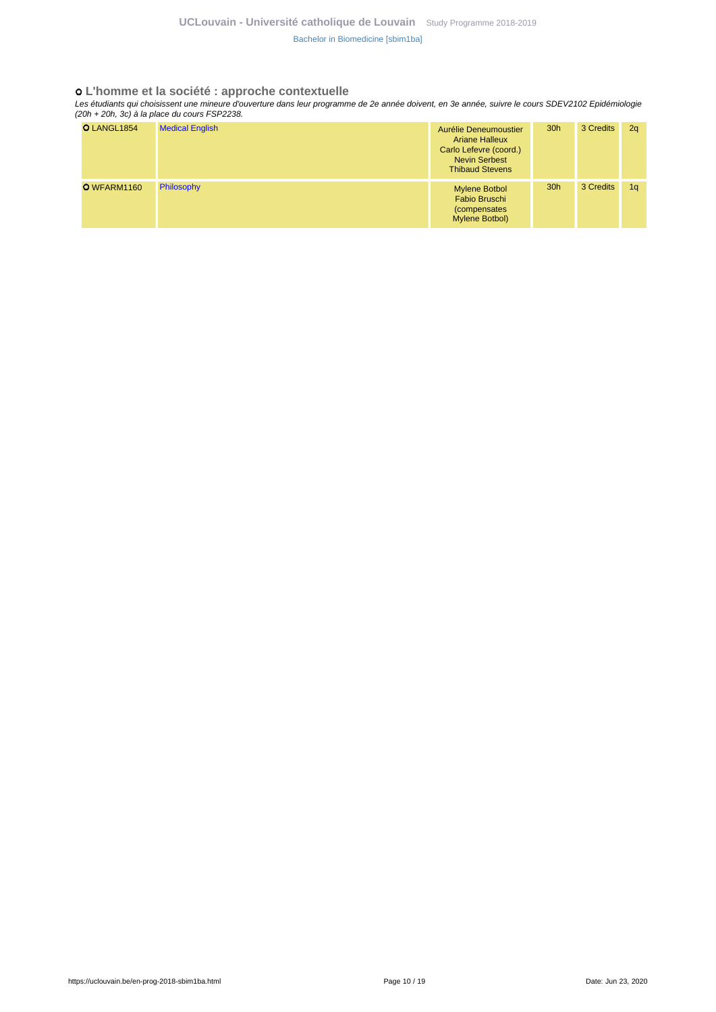#### **L'homme et la société : approche contextuelle**

Les étudiants qui choisissent une mineure d'ouverture dans leur programme de 2e année doivent, en 3e année, suivre le cours SDEV2102 Epidémiologie (20h + 20h, 3c) à la place du cours FSP2238.

| O LANGL1854 | <b>Medical English</b> | Aurélie Deneumoustier<br><b>Ariane Halleux</b><br>Carlo Lefevre (coord.)<br><b>Nevin Serbest</b><br><b>Thibaud Stevens</b> | 30 <sub>h</sub> | 3 Credits | 2q             |
|-------------|------------------------|----------------------------------------------------------------------------------------------------------------------------|-----------------|-----------|----------------|
| O WFARM1160 | Philosophy             | <b>Mylene Botbol</b><br>Fabio Bruschi<br>(compensates<br>Mylene Botbol)                                                    | 30 <sub>h</sub> | 3 Credits | 1 <sub>q</sub> |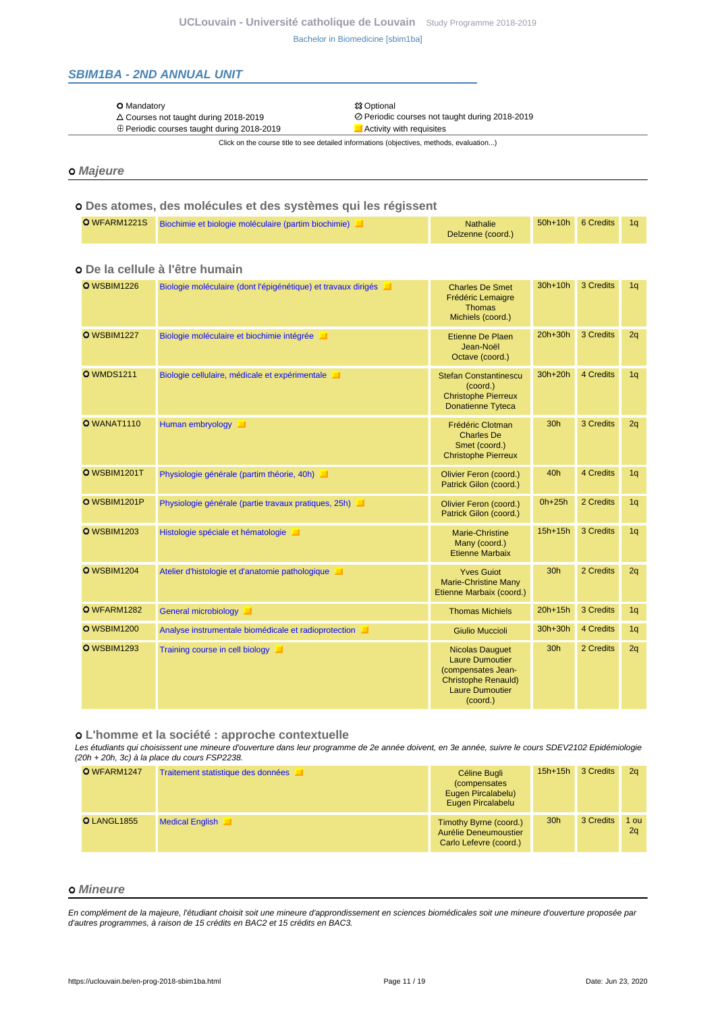### <span id="page-10-0"></span>**SBIM1BA - 2ND ANNUAL UNIT**

#### O Mandatory 23 Optional 23 Optional 23 Optional 23 Optional 23 Optional 23 Optional 23 Optional 23 Optional 23 Optional 23 Optional 23 Optional 23 Optional 23 Optional 23 Optional 23 Optional 23 Optional 23 Optional 23 Op

- 
- $\oplus$  Periodic courses taught during 2018-2019

Courses not taught during 2018-2019 Periodic courses not taught during 2018-2019

Click on the course title to see detailed informations (objectives, methods, evaluation...)

#### **Majeure**

# **Des atomes, des molécules et des systèmes qui les régissent**

|  | O WFARM1221S Biochimie et biologie moléculaire (partim biochimie) | <b>Nathalie</b>   | $50h+10h$ | 6 Credits 1g |  |
|--|-------------------------------------------------------------------|-------------------|-----------|--------------|--|
|  |                                                                   | Delzenne (coord.) |           |              |  |

#### O WSBIM1226 [Biologie moléculaire \(dont l'épigénétique\) et travaux dirigés](https://uclouvain.be/cours-2018-WSBIM1226) **Charles De Smet** Frédéric Lemaigre Thomas Michiels (coord.) 30h+10h 3 Credits 1q O WSBIM1227 [Biologie moléculaire et biochimie intégrée](https://uclouvain.be/cours-2018-WSBIM1227) Etienne De Plaen Etienne De Plaen Jean-Noël Octave (coord.) 20h+30h 3 Credits 2q O WMDS1211 [Biologie cellulaire, médicale et expérimentale](https://uclouvain.be/cours-2018-WMDS1211) **Stefan Constantinescu** Stefan Constantinescu (coord.) Christophe Pierreux Donatienne Tyteca 30h+20h 4 Credits 1q O WANAT1110 [Human embryology](https://uclouvain.be/cours-2018-WANAT1110) Frédéric Clotman Charles De Smet (coord.) Christophe Pierreux 30h 3 Credits 2q O WSBIM1201T [Physiologie générale \(partim théorie, 40h\)](https://uclouvain.be/cours-2018-WSBIM1201T) **Divier Container de la Container de Container** Olivier Feron (coord.) Patrick Gilon (coord.) 40h 4 Credits 1q O WSBIM1201P [Physiologie générale \(partie travaux pratiques, 25h\)](https://uclouvain.be/cours-2018-WSBIM1201P) O Context Clivier Feron (coord.) Patrick Gilon (coord.) 0h+25h 2 Credits 1q O WSBIM1203 [Histologie spéciale et hématologie](https://uclouvain.be/cours-2018-WSBIM1203) **Marie-Christine** Marie-Christine Many (coord.) Etienne Marbaix 15h+15h 3 Credits 1q O WSBIM1204 [Atelier d'histologie et d'anatomie pathologique](https://uclouvain.be/cours-2018-WSBIM1204) **Vice Accessity de La Vice Accessity de La Vice Accessity** Marie-Christine Many Etienne Marbaix (coord.) 30h 2 Credits 2q **O** WFARM1282 [General microbiology](https://uclouvain.be/cours-2018-WFARM1282) **Thomas Michiels 20h+15h 3 Credits** 1q O WSBIM1200 [Analyse instrumentale biomédicale et radioprotection](https://uclouvain.be/cours-2018-WSBIM1200) Giulio Ciulio Muccioli 30h+30h 4 Credits 1q O WSBIM1293 [Training course in cell biology](https://uclouvain.be/cours-2018-WSBIM1293) Nicolas Dauguet Nicolas Dauguet Laure Dumoutier (compensates Jean-Christophe Renauld) Laure Dumoutier (coord.) 30h 2 Credits 2q

### **De la cellule à l'être humain**

 **L'homme et la société : approche contextuelle**

Les étudiants qui choisissent une mineure d'ouverture dans leur programme de 2e année doivent, en 3e année, suivre le cours SDEV2102 Epidémiologie (20h + 20h, 3c) à la place du cours FSP2238.

| O WFARM1247 | Traitement statistique des données | Céline Bugli<br>(compensates<br>Eugen Pircalabelu)<br>Eugen Pircalabelu   | $15h+15h$       | 3 Credits | 2 <sub>a</sub> |
|-------------|------------------------------------|---------------------------------------------------------------------------|-----------------|-----------|----------------|
| O LANGL1855 | <b>Medical English</b>             | Timothy Byrne (coord.)<br>Aurélie Deneumoustier<br>Carlo Lefevre (coord.) | 30 <sub>h</sub> | 3 Credits | 1 ou<br>2q     |

#### **Mineure**

En complément de la majeure, l'étudiant choisit soit une mineure d'approndissement en sciences biomédicales soit une mineure d'ouverture proposée par d'autres programmes, à raison de 15 crédits en BAC2 et 15 crédits en BAC3.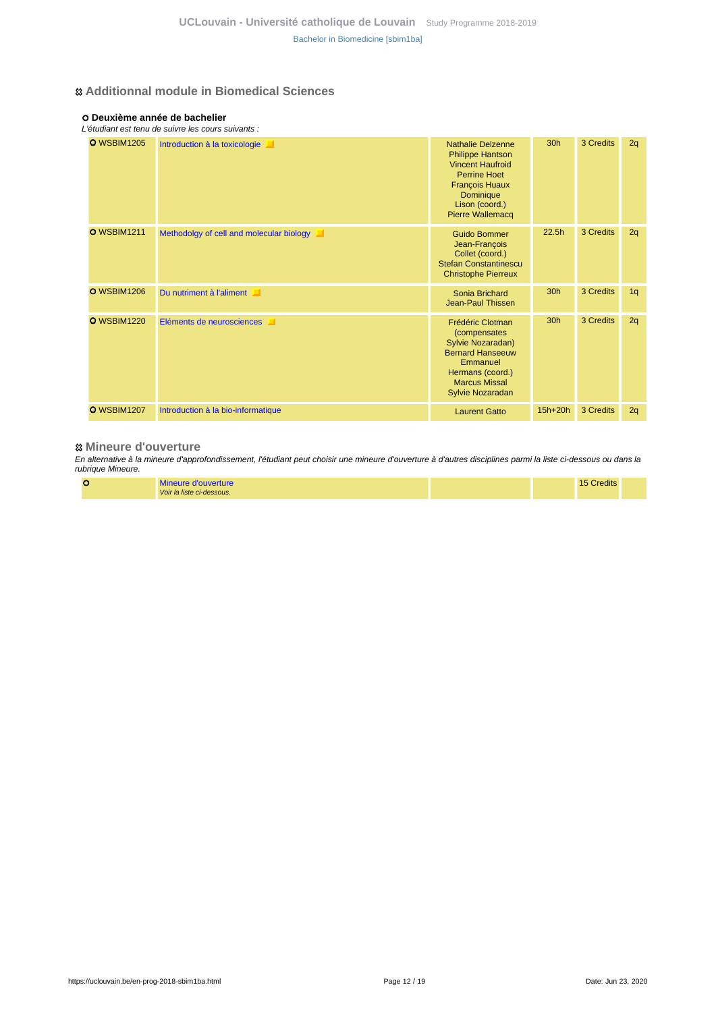### **Additionnal module in Biomedical Sciences**

### **Deuxième année de bachelier**

|  |  |  | L'étudiant est tenu de suivre les cours suivants : |  |
|--|--|--|----------------------------------------------------|--|
|  |  |  |                                                    |  |

| <b>O</b> WSBIM1205 | Introduction à la toxicologie            | <b>Nathalie Delzenne</b><br><b>Philippe Hantson</b><br><b>Vincent Haufroid</b><br><b>Perrine Hoet</b><br><b>François Huaux</b><br><b>Dominique</b><br>Lison (coord.)<br><b>Pierre Wallemacq</b> | 30h       | 3 Credits | 2q |
|--------------------|------------------------------------------|-------------------------------------------------------------------------------------------------------------------------------------------------------------------------------------------------|-----------|-----------|----|
| <b>O</b> WSBIM1211 | Methodolgy of cell and molecular biology | <b>Guido Bommer</b><br>Jean-François<br>Collet (coord.)<br><b>Stefan Constantinescu</b><br><b>Christophe Pierreux</b>                                                                           | 22.5h     | 3 Credits | 2q |
| <b>O</b> WSBIM1206 | Du nutriment à l'aliment                 | Sonia Brichard<br>Jean-Paul Thissen                                                                                                                                                             | 30h       | 3 Credits | 1q |
| <b>O</b> WSBIM1220 | Eléments de neurosciences                | Frédéric Clotman<br>(compensates<br>Sylvie Nozaradan)<br><b>Bernard Hanseeuw</b><br>Emmanuel<br>Hermans (coord.)<br><b>Marcus Missal</b><br><b>Sylvie Nozaradan</b>                             | 30h       | 3 Credits | 2q |
| <b>O</b> WSBIM1207 | Introduction à la bio-informatique       | <b>Laurent Gatto</b>                                                                                                                                                                            | $15h+20h$ | 3 Credits | 2q |

### **Mineure d'ouverture**

En alternative à la mineure d'approfondissement, l'étudiant peut choisir une mineure d'ouverture à d'autres disciplines parmi la liste ci-dessous ou dans la rubrique Mineure.

| Mineure d'ouverture<br>Voir la liste ci-dessous. |  |  |  |  |  |  | <b>Credits</b> |  |
|--------------------------------------------------|--|--|--|--|--|--|----------------|--|
|--------------------------------------------------|--|--|--|--|--|--|----------------|--|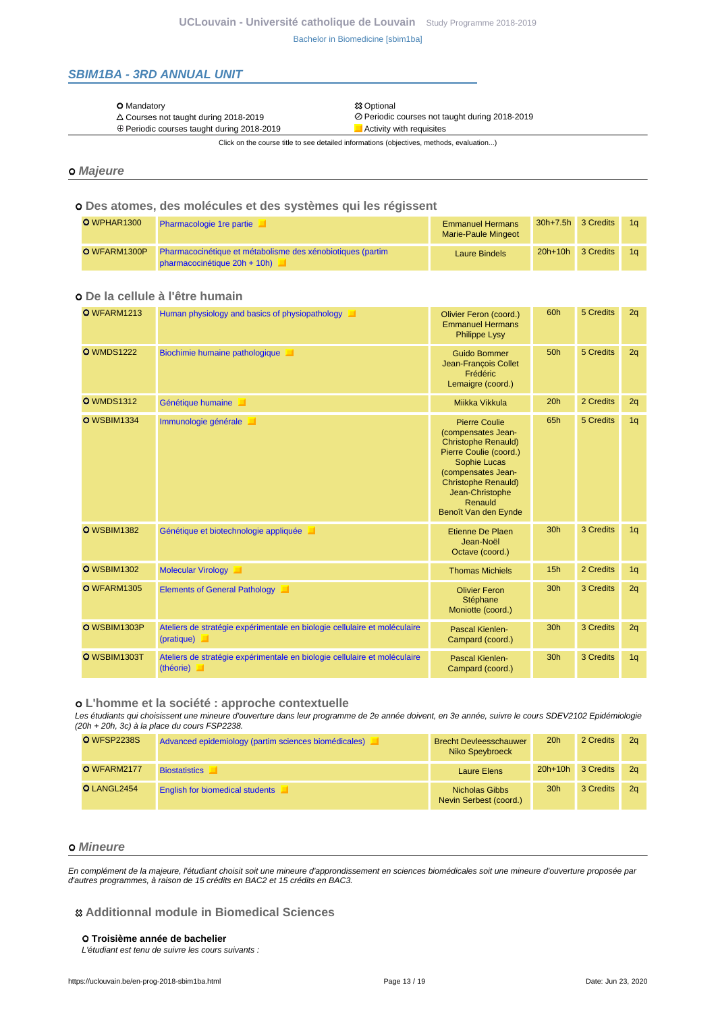### <span id="page-12-0"></span>**SBIM1BA - 3RD ANNUAL UNIT**

| O Mandatory |
|-------------|
|             |

 $\triangle$  Courses not taught during 2018-2019<br>  $\oplus$  Periodic courses taught during 2018-2019<br>  $\blacksquare$ Activity with requisites  $\oplus$  Periodic courses taught during 2018-2019

**総 Optional** 

Click on the course title to see detailed informations (objectives, methods, evaluation...)

#### **Majeure**

#### **Des atomes, des molécules et des systèmes qui les régissent**

| O WPHAR1300  | Pharmacologie 1 re partie                                                                  | <b>Emmanuel Hermans</b><br>Marie-Paule Mingeot |           | 30h+7.5h 3 Credits | 1 <sub>a</sub> |
|--------------|--------------------------------------------------------------------------------------------|------------------------------------------------|-----------|--------------------|----------------|
| O WFARM1300P | Pharmacocinétique et métabolisme des xénobiotiques (partim<br>pharmacocinétique 20h + 10h) | <b>Laure Bindels</b>                           | $20h+10h$ | 3 Credits          |                |

## **De la cellule à l'être humain**

| <b>O</b> WFARM1213 | Human physiology and basics of physiopathology                                                   | Olivier Feron (coord.)<br><b>Emmanuel Hermans</b><br><b>Philippe Lysy</b>                                                                                                                                                    | 60h             | 5 Credits | 2q |
|--------------------|--------------------------------------------------------------------------------------------------|------------------------------------------------------------------------------------------------------------------------------------------------------------------------------------------------------------------------------|-----------------|-----------|----|
| <b>O</b> WMDS1222  | Biochimie humaine pathologique                                                                   | <b>Guido Bommer</b><br>Jean-François Collet<br>Frédéric<br>Lemaigre (coord.)                                                                                                                                                 | 50h             | 5 Credits | 2q |
| <b>O</b> WMDS1312  | Génétique humaine                                                                                | Miikka Vikkula                                                                                                                                                                                                               | 20h             | 2 Credits | 2q |
| <b>O</b> WSBIM1334 | Immunologie générale                                                                             | <b>Pierre Coulie</b><br>(compensates Jean-<br><b>Christophe Renauld)</b><br>Pierre Coulie (coord.)<br>Sophie Lucas<br>(compensates Jean-<br><b>Christophe Renauld)</b><br>Jean-Christophe<br>Renauld<br>Benoît Van den Eynde | 65h             | 5 Credits | 1q |
| <b>O</b> WSBIM1382 | Génétique et biotechnologie appliquée                                                            | Etienne De Plaen<br>Jean-Noël<br>Octave (coord.)                                                                                                                                                                             | 30 <sub>h</sub> | 3 Credits | 1q |
| <b>O</b> WSBIM1302 | Molecular Virology                                                                               | <b>Thomas Michiels</b>                                                                                                                                                                                                       | 15h             | 2 Credits | 1q |
| O WFARM1305        | <b>Elements of General Pathology</b>                                                             | <b>Olivier Feron</b><br>Stéphane<br>Moniotte (coord.)                                                                                                                                                                        | 30 <sub>h</sub> | 3 Credits | 2q |
| O WSBIM1303P       | Ateliers de stratégie expérimentale en biologie cellulaire et moléculaire<br>$(\text{pratique})$ | Pascal Kienlen-<br>Campard (coord.)                                                                                                                                                                                          | 30h             | 3 Credits | 2q |
| O WSBIM1303T       | Ateliers de stratégie expérimentale en biologie cellulaire et moléculaire<br>(théorie)           | Pascal Kienlen-<br>Campard (coord.)                                                                                                                                                                                          | 30 <sub>h</sub> | 3 Credits | 1q |

#### **L'homme et la société : approche contextuelle**

Les étudiants qui choisissent une mineure d'ouverture dans leur programme de 2e année doivent, en 3e année, suivre le cours SDEV2102 Epidémiologie (20h + 20h, 3c) à la place du cours FSP2238.

| <b>O</b> WFSP2238S | Advanced epidemiology (partim sciences biomédicales) | <b>Brecht Devleesschauwer</b><br>Niko Speybroeck | 20h       | 2 Credits | 2 <sub>a</sub> |
|--------------------|------------------------------------------------------|--------------------------------------------------|-----------|-----------|----------------|
| O WFARM2177        | <b>Biostatistics</b>                                 | Laure Elens                                      | $20h+10h$ | 3 Credits | 2a             |
| O LANGL2454        | <b>English for biomedical students</b>               | Nicholas Gibbs<br>Nevin Serbest (coord.)         | 30h       | 3 Credits | 2 <sub>a</sub> |

#### **Mineure**

En complément de la majeure, l'étudiant choisit soit une mineure d'approndissement en sciences biomédicales soit une mineure d'ouverture proposée par d'autres programmes, à raison de 15 crédits en BAC2 et 15 crédits en BAC3.

#### **Additionnal module in Biomedical Sciences**

#### **Troisième année de bachelier**

L'étudiant est tenu de suivre les cours suivants :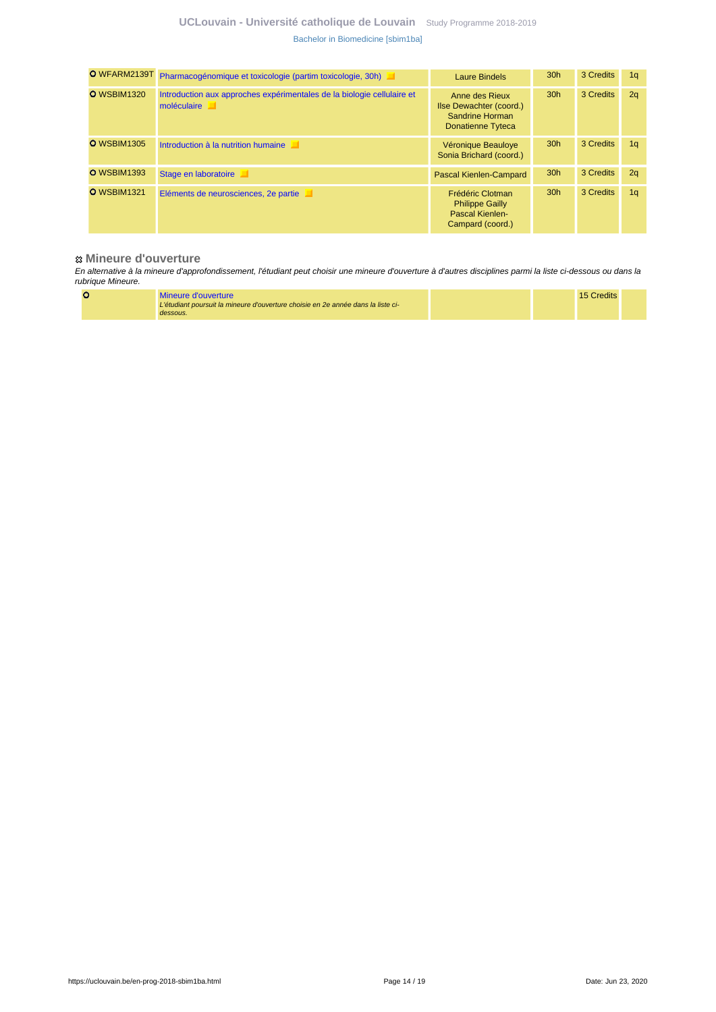## **UCLouvain - Université catholique de Louvain** [Study Programme 2018-2019](https://uclouvain.be/en/study-programme) [Bachelor in Biomedicine \[sbim1ba\]](https://uclouvain.be/en-prog-2018-sbim1ba.html)

| O WFARM2139T       | Pharmacogénomique et toxicologie (partim toxicologie, 30h)                            | Laure Bindels                                                                     | 30 <sub>h</sub> | 3 Credits | 1 <sub>a</sub> |
|--------------------|---------------------------------------------------------------------------------------|-----------------------------------------------------------------------------------|-----------------|-----------|----------------|
| <b>O</b> WSBIM1320 | Introduction aux approches expérimentales de la biologie cellulaire et<br>moléculaire | Anne des Rieux<br>Ilse Dewachter (coord.)<br>Sandrine Horman<br>Donatienne Tyteca | 30 <sub>h</sub> | 3 Credits | 2q             |
| <b>O</b> WSBIM1305 | Introduction à la nutrition humaine                                                   | Véronique Beauloye<br>Sonia Brichard (coord.)                                     | 30 <sub>h</sub> | 3 Credits | 1 <sub>q</sub> |
| <b>O</b> WSBIM1393 | Stage en laboratoire                                                                  | Pascal Kienlen-Campard                                                            | 30 <sub>h</sub> | 3 Credits | 2q             |
| <b>O</b> WSBIM1321 | Eléments de neurosciences, 2e partie                                                  | Frédéric Clotman<br><b>Philippe Gailly</b><br>Pascal Kienlen-<br>Campard (coord.) | 30 <sub>h</sub> | 3 Credits | 1 <sub>q</sub> |

#### **Mineure d'ouverture**

En alternative à la mineure d'approfondissement, l'étudiant peut choisir une mineure d'ouverture à d'autres disciplines parmi la liste ci-dessous ou dans la rubrique Mineure.

|  | Mineure d'ouverture                                                              |  | 15 Credits |  |
|--|----------------------------------------------------------------------------------|--|------------|--|
|  | L'étudiant poursuit la mineure d'ouverture choisie en 2e année dans la liste ci- |  |            |  |
|  | dessous.                                                                         |  |            |  |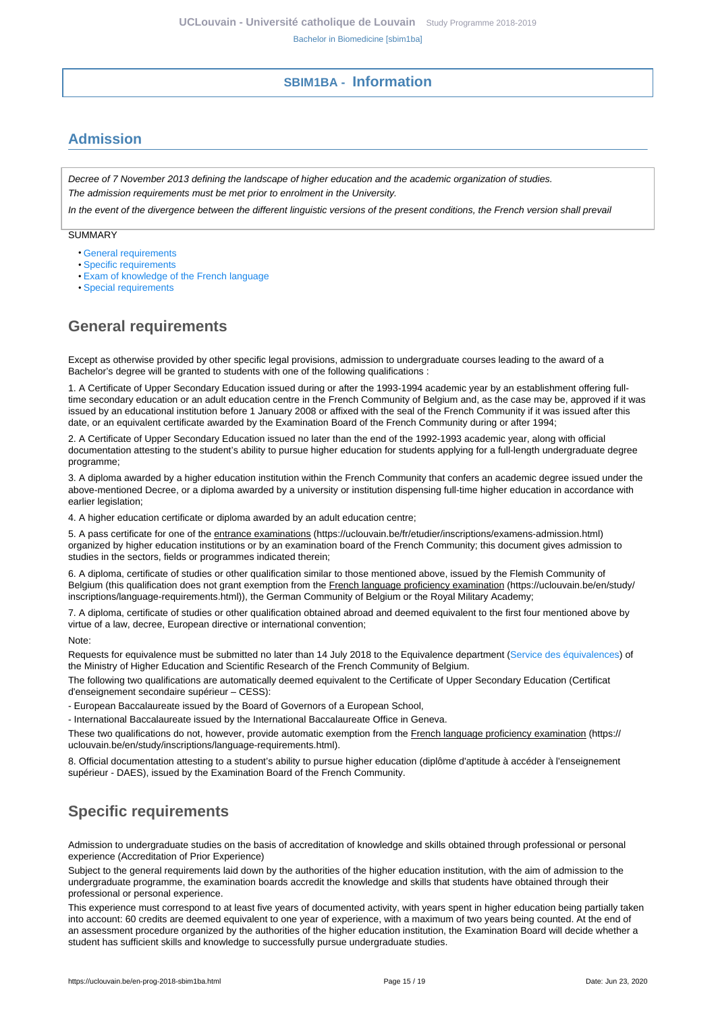## **SBIM1BA - Information**

# <span id="page-14-1"></span><span id="page-14-0"></span>**Admission**

Decree of 7 November 2013 defining the landscape of higher education and the academic organization of studies. The admission requirements must be met prior to enrolment in the University.

In the event of the divergence between the different linguistic versions of the present conditions, the French version shall prevail

SUMMARY

- [General requirements](#page-14-2)
- [Specific requirements](#page-14-3)
- [Exam of knowledge of the French language](#page-15-0)
- [Special requirements](#page-15-1)

# <span id="page-14-2"></span>**General requirements**

Except as otherwise provided by other specific legal provisions, admission to undergraduate courses leading to the award of a Bachelor's degree will be granted to students with one of the following qualifications :

1. A Certificate of Upper Secondary Education issued during or after the 1993-1994 academic year by an establishment offering fulltime secondary education or an adult education centre in the French Community of Belgium and, as the case may be, approved if it was issued by an educational institution before 1 January 2008 or affixed with the seal of the French Community if it was issued after this date, or an equivalent certificate awarded by the Examination Board of the French Community during or after 1994;

2. A Certificate of Upper Secondary Education issued no later than the end of the 1992-1993 academic year, along with official documentation attesting to the student's ability to pursue higher education for students applying for a full-length undergraduate degree programme;

3. A diploma awarded by a higher education institution within the French Community that confers an academic degree issued under the above-mentioned Decree, or a diploma awarded by a university or institution dispensing full-time higher education in accordance with earlier legislation;

4. A higher education certificate or diploma awarded by an adult education centre;

5. A pass certificate for one of the entrance examinations (https://uclouvain.be/fr/etudier/inscriptions/examens-admission.html) organized by higher education institutions or by an examination board of the French Community; this document gives admission to studies in the sectors, fields or programmes indicated therein;

6. A diploma, certificate of studies or other qualification similar to those mentioned above, issued by the Flemish Community of Belgium (this qualification does not grant exemption from the French language proficiency examination (https://uclouvain.be/en/study/ inscriptions/language-requirements.html)), the German Community of Belgium or the Royal Military Academy;

7. A diploma, certificate of studies or other qualification obtained abroad and deemed equivalent to the first four mentioned above by virtue of a law, decree, European directive or international convention;

Note:

Requests for equivalence must be submitted no later than 14 July 2018 to the Equivalence department [\(Service des équivalences](http://www.equivalences.cfwb.be/)) of the Ministry of Higher Education and Scientific Research of the French Community of Belgium.

The following two qualifications are automatically deemed equivalent to the Certificate of Upper Secondary Education (Certificat d'enseignement secondaire supérieur – CESS):

- European Baccalaureate issued by the Board of Governors of a European School,

- International Baccalaureate issued by the International Baccalaureate Office in Geneva.

These two qualifications do not, however, provide automatic exemption from the French language proficiency examination (https:// uclouvain.be/en/study/inscriptions/language-requirements.html).

8. Official documentation attesting to a student's ability to pursue higher education (diplôme d'aptitude à accéder à l'enseignement supérieur - DAES), issued by the Examination Board of the French Community.

# <span id="page-14-3"></span>**Specific requirements**

Admission to undergraduate studies on the basis of accreditation of knowledge and skills obtained through professional or personal experience (Accreditation of Prior Experience)

Subject to the general requirements laid down by the authorities of the higher education institution, with the aim of admission to the undergraduate programme, the examination boards accredit the knowledge and skills that students have obtained through their professional or personal experience.

This experience must correspond to at least five years of documented activity, with years spent in higher education being partially taken into account: 60 credits are deemed equivalent to one year of experience, with a maximum of two years being counted. At the end of an assessment procedure organized by the authorities of the higher education institution, the Examination Board will decide whether a student has sufficient skills and knowledge to successfully pursue undergraduate studies.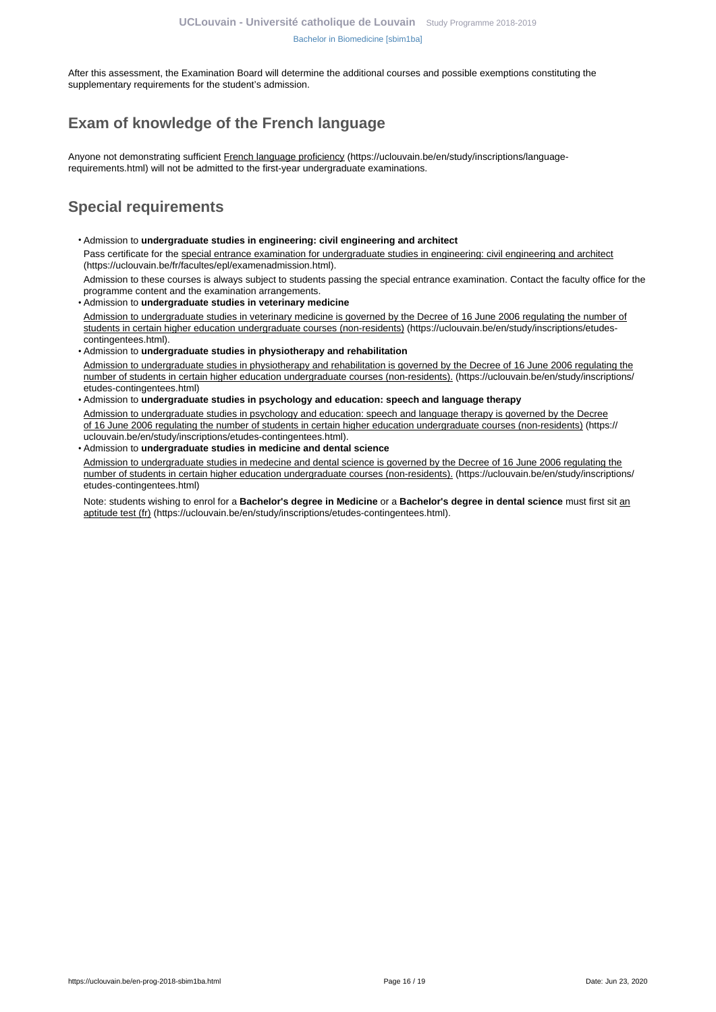After this assessment, the Examination Board will determine the additional courses and possible exemptions constituting the supplementary requirements for the student's admission.

# <span id="page-15-0"></span>**Exam of knowledge of the French language**

Anyone not demonstrating sufficient French language proficiency (https://uclouvain.be/en/study/inscriptions/languagerequirements.html) will not be admitted to the first-year undergraduate examinations.

# <span id="page-15-1"></span>**Special requirements**

- Admission to **undergraduate studies in engineering: civil engineering and architect** Pass certificate for the special entrance examination for undergraduate studies in engineering: civil engineering and architect (https://uclouvain.be/fr/facultes/epl/examenadmission.html). Admission to these courses is always subject to students passing the special entrance examination. Contact the faculty office for the
- programme content and the examination arrangements. • Admission to **undergraduate studies in veterinary medicine**  Admission to undergraduate studies in veterinary medicine is governed by the Decree of 16 June 2006 regulating the number of students in certain higher education undergraduate courses (non-residents) (https://uclouvain.be/en/study/inscriptions/etudescontingentees.html).
- Admission to **undergraduate studies in physiotherapy and rehabilitation** Admission to undergraduate studies in physiotherapy and rehabilitation is governed by the Decree of 16 June 2006 regulating the number of students in certain higher education undergraduate courses (non-residents). (https://uclouvain.be/en/study/inscriptions/ etudes-contingentees.html)
- Admission to **undergraduate studies in psychology and education: speech and language therapy** Admission to undergraduate studies in psychology and education: speech and language therapy is governed by the Decree of 16 June 2006 regulating the number of students in certain higher education undergraduate courses (non-residents) (https:// uclouvain.be/en/study/inscriptions/etudes-contingentees.html).
- Admission to **undergraduate studies in medicine and dental science**

Admission to undergraduate studies in medecine and dental science is governed by the Decree of 16 June 2006 regulating the number of students in certain higher education undergraduate courses (non-residents). (https://uclouvain.be/en/study/inscriptions/ etudes-contingentees.html)

Note: students wishing to enrol for a **Bachelor's degree in Medicine** or a **Bachelor's degree in dental science** must first sit an aptitude test (fr) (https://uclouvain.be/en/study/inscriptions/etudes-contingentees.html).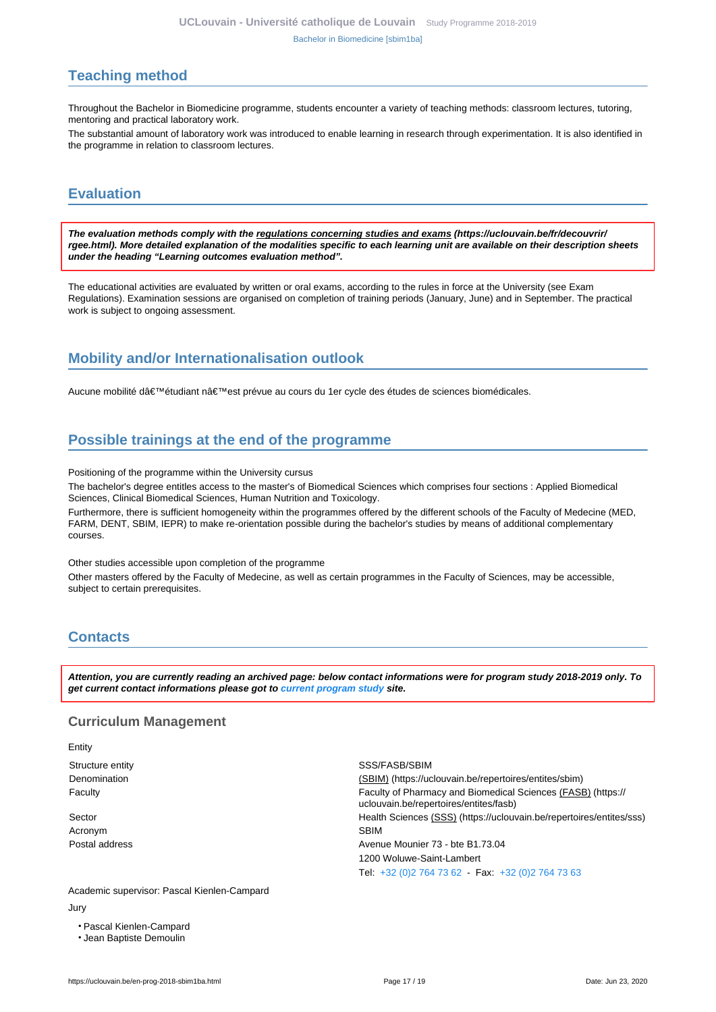# <span id="page-16-0"></span>**Teaching method**

Throughout the Bachelor in Biomedicine programme, students encounter a variety of teaching methods: classroom lectures, tutoring, mentoring and practical laboratory work.

The substantial amount of laboratory work was introduced to enable learning in research through experimentation. It is also identified in the programme in relation to classroom lectures.

# <span id="page-16-1"></span>**Evaluation**

**The evaluation methods comply with the regulations concerning studies and exams (https://uclouvain.be/fr/decouvrir/ rgee.html). More detailed explanation of the modalities specific to each learning unit are available on their description sheets under the heading "Learning outcomes evaluation method".**

The educational activities are evaluated by written or oral exams, according to the rules in force at the University (see Exam Regulations). Examination sessions are organised on completion of training periods (January, June) and in September. The practical work is subject to ongoing assessment.

# <span id="page-16-2"></span>**Mobility and/or Internationalisation outlook**

Aucune mobilité d'étudiant n'est prévue au cours du 1er cycle des études de sciences biomédicales.

# <span id="page-16-3"></span>**Possible trainings at the end of the programme**

Positioning of the programme within the University cursus

The bachelor's degree entitles access to the master's of Biomedical Sciences which comprises four sections : Applied Biomedical Sciences, Clinical Biomedical Sciences, Human Nutrition and Toxicology.

Furthermore, there is sufficient homogeneity within the programmes offered by the different schools of the Faculty of Medecine (MED, FARM, DENT, SBIM, IEPR) to make re-orientation possible during the bachelor's studies by means of additional complementary courses.

Other studies accessible upon completion of the programme

Other masters offered by the Faculty of Medecine, as well as certain programmes in the Faculty of Sciences, may be accessible, subject to certain prerequisites.

# <span id="page-16-4"></span>**Contacts**

**Attention, you are currently reading an archived page: below contact informations were for program study 2018-2019 only. To get current contact informations please got to [current program study](https://uclouvain.be/fr/catalogue-formations) site.**

### **Curriculum Management**

Entity

Acronym SBIM

Structure entity **SSS/FASB/SBIM** SSS/FASB/SBIM Denomination (SBIM) (https://uclouvain.be/repertoires/entites/sbim) Faculty Faculty of Pharmacy and Biomedical Sciences (FASB) (https:// uclouvain.be/repertoires/entites/fasb) Sector Health Sciences (SSS) (https://uclouvain.be/repertoires/entites/sss) Postal address **Avenue Mounier 73 - bte B1.73.04** 1200 Woluwe-Saint-Lambert Tel: [+32 \(0\)2 764 73 62](https://uclouvain.be/tel:+3227647362) - Fax: [+32 \(0\)2 764 73 63](https://uclouvain.be/tel:+3227647363)

Academic supervisor: Pascal Kienlen-Campard Jury

- Pascal Kienlen-Campard
- Jean Baptiste Demoulin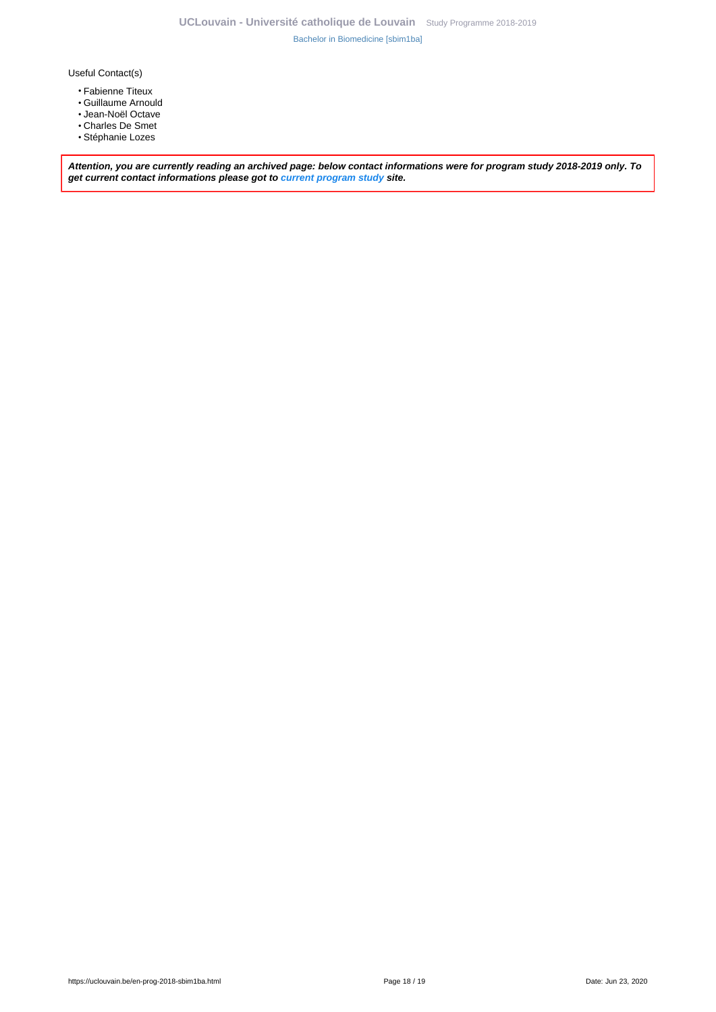Useful Contact(s)

- Fabienne Titeux
- Guillaume Arnould
- Jean-Noël Octave
- Charles De Smet
- Stéphanie Lozes

**Attention, you are currently reading an archived page: below contact informations were for program study 2018-2019 only. To get current contact informations please got to [current program study](https://uclouvain.be/fr/catalogue-formations) site.**